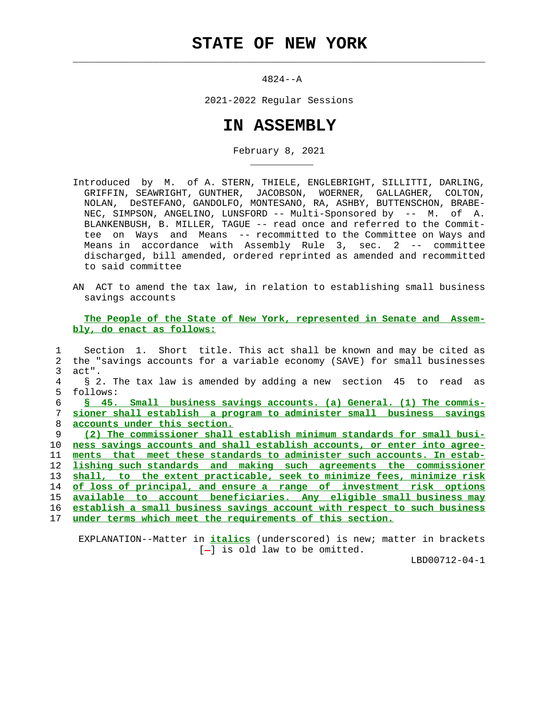$\mathcal{L}_\text{max} = \frac{1}{2} \sum_{i=1}^{n} \frac{1}{2} \sum_{i=1}^{n} \frac{1}{2} \sum_{i=1}^{n} \frac{1}{2} \sum_{i=1}^{n} \frac{1}{2} \sum_{i=1}^{n} \frac{1}{2} \sum_{i=1}^{n} \frac{1}{2} \sum_{i=1}^{n} \frac{1}{2} \sum_{i=1}^{n} \frac{1}{2} \sum_{i=1}^{n} \frac{1}{2} \sum_{i=1}^{n} \frac{1}{2} \sum_{i=1}^{n} \frac{1}{2} \sum_{i=1}^{n} \frac{1$ 

\_\_\_\_\_\_\_\_\_\_\_

4824--A

2021-2022 Regular Sessions

## **IN ASSEMBLY**

February 8, 2021

 Introduced by M. of A. STERN, THIELE, ENGLEBRIGHT, SILLITTI, DARLING, GRIFFIN, SEAWRIGHT, GUNTHER, JACOBSON, WOERNER, GALLAGHER, COLTON, NOLAN, DeSTEFANO, GANDOLFO, MONTESANO, RA, ASHBY, BUTTENSCHON, BRABE- NEC, SIMPSON, ANGELINO, LUNSFORD -- Multi-Sponsored by -- M. of A. BLANKENBUSH, B. MILLER, TAGUE -- read once and referred to the Commit tee on Ways and Means -- recommitted to the Committee on Ways and Means in accordance with Assembly Rule  $3,$  sec.  $2$  -- committee discharged, bill amended, ordered reprinted as amended and recommitted to said committee

 AN ACT to amend the tax law, in relation to establishing small business savings accounts

 **The People of the State of New York, represented in Senate and Assem bly, do enact as follows:**

 1 Section 1. Short title. This act shall be known and may be cited as 2 the "savings accounts for a variable economy (SAVE) for small businesses 3 act". 4 § 2. The tax law is amended by adding a new section 45 to read as 5 follows: **§ 45. Small business savings accounts. (a) General. (1) The commis- sioner shall establish a program to administer small business savings accounts under this section. (2) The commissioner shall establish minimum standards for small busi- ness savings accounts and shall establish accounts, or enter into agree- ments that meet these standards to administer such accounts. In estab- lishing such standards and making such agreements the commissioner shall, to the extent practicable, seek to minimize fees, minimize risk of loss of principal, and ensure a range of investment risk options available to account beneficiaries. Any eligible small business may establish a small business savings account with respect to such business under terms which meet the requirements of this section.**

 EXPLANATION--Matter in **italics** (underscored) is new; matter in brackets  $[-]$  is old law to be omitted.

LBD00712-04-1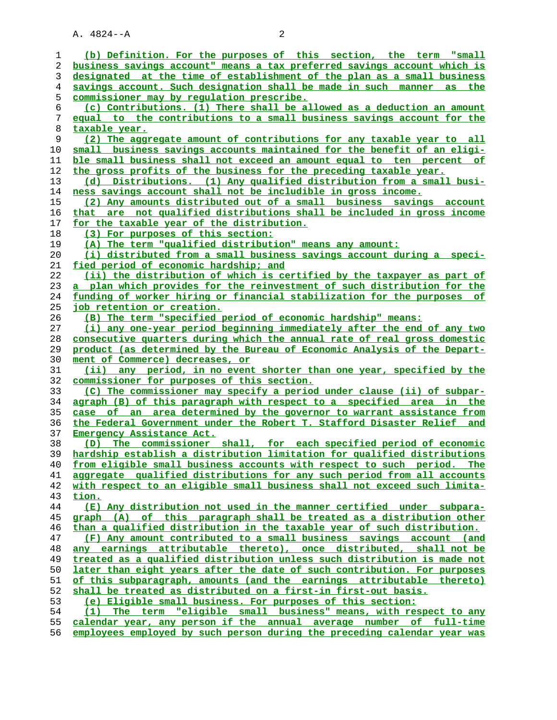A. 4824--A 2

| 1        | (b) Definition. For the purposes of this section, the term "small                                                                                   |
|----------|-----------------------------------------------------------------------------------------------------------------------------------------------------|
| 2        | business savings account" means a tax preferred savings account which is                                                                            |
| 3        | designated at the time of establishment of the plan as a small business                                                                             |
| 4        | savings account. Such designation shall be made in such manner<br>as the                                                                            |
| 5        | <u>commissioner may by requlation prescribe.</u>                                                                                                    |
| 6        | (c) Contributions. (1) There shall be allowed as a deduction an amount                                                                              |
| 7        | equal to the contributions to a small business savings account for the                                                                              |
| 8        | taxable year.                                                                                                                                       |
| 9        | (2) The aggregate amount of contributions for any taxable year to all                                                                               |
| 10       | small business savings accounts maintained for the benefit of an eligi-                                                                             |
| 11       | ble small business shall not exceed an amount equal to ten percent of                                                                               |
| 12       | the gross profits of the business for the preceding taxable year.                                                                                   |
| 13       | (d) Distributions. (1) Any qualified distribution from a small busi-                                                                                |
| 14       | ness savings account shall not be includible in gross income.                                                                                       |
| 15       | (2) Any amounts distributed out of a small business savings account                                                                                 |
| 16       | that are not qualified distributions shall be included in gross income                                                                              |
| 17       | <u>for the taxable year of the distribution.</u>                                                                                                    |
| 18       | (3) For purposes of this section:                                                                                                                   |
| 19       | (A) The term "qualified distribution" means any amount:                                                                                             |
| 20       | (i) distributed from a small business savings account during a speci-                                                                               |
| 21       | <u>fied period of economic hardship; and</u>                                                                                                        |
| 22       | (ii) the distribution of which is certified by the taxpayer as part of                                                                              |
| 23       | a plan which provides for the reinvestment of such distribution for the                                                                             |
| 24       | funding of worker hiring or financial stabilization for the purposes of                                                                             |
| 25       | <u>job retention or creation.</u>                                                                                                                   |
| 26       | (B) The term "specified period of economic hardship" means:                                                                                         |
| 27       | (i) any one-year period beginning immediately after the end of any two                                                                              |
| 28       | consecutive quarters during which the annual rate of real gross domestic                                                                            |
| 29       | product (as determined by the Bureau of Economic Analysis of the Depart-                                                                            |
| 30       | ment of Commerce) decreases, or                                                                                                                     |
| 31       | any period, in no event shorter than one year, specified by the<br>(ii)                                                                             |
| 32       | commissioner for purposes of this section.                                                                                                          |
| 33       | (C) The commissioner may specify a period under clause (ii) of subpar-                                                                              |
| 34       | agraph (B) of this paragraph with respect to a specified area in the                                                                                |
| 35       | case of an area determined by the governor to warrant assistance from                                                                               |
| 36       | the Federal Government under the Robert T. Stafford Disaster Relief and                                                                             |
| 37       | Emergency Assistance Act.                                                                                                                           |
| 38       | The commissioner shall, for each specified period of economic<br>(D)                                                                                |
| 39       | hardship establish a distribution limitation for qualified distributions                                                                            |
| 40       | from eligible small business accounts with respect to such period. The                                                                              |
| 41       | aggregate qualified distributions for any such period from all accounts<br>with respect to an eligible small business shall not exceed such limita- |
| 42       |                                                                                                                                                     |
| 43<br>44 | <u>tion.</u><br>(E) Any distribution not used in the manner certified under subpara-                                                                |
| 45       | graph (A) of this paragraph shall be treated as a distribution other                                                                                |
| 46       | than a qualified distribution in the taxable year of such distribution.                                                                             |
| 47       | (F) Any amount contributed to a small business savings account (and                                                                                 |
| 48       | any earnings attributable thereto), once distributed, shall not be                                                                                  |
| 49       | treated as a qualified distribution unless such distribution is made not                                                                            |
| 50       | later than eight years after the date of such contribution. For purposes                                                                            |
| 51       | of this subparagraph, amounts (and the earnings attributable thereto)                                                                               |
| 52       | shall be treated as distributed on a first-in first-out basis.                                                                                      |
| 53       | (e) Eligible small business. For purposes of this section:                                                                                          |
| 54       | (1) The term "eligible small business" means, with respect to any                                                                                   |
| 55       | calendar year, any person if the annual average number of full-time                                                                                 |
| 56       | employees employed by such person during the preceding calendar year was                                                                            |
|          |                                                                                                                                                     |